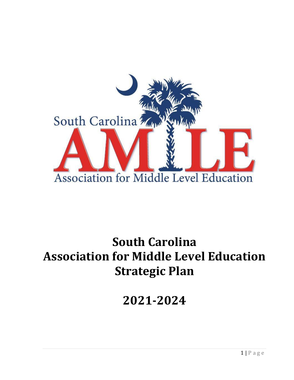

# **South Carolina Association for Middle Level Education Strategic Plan**

**2021-2024**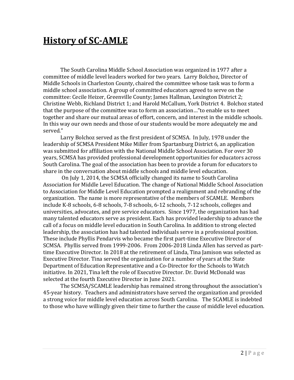### **History of SC-AMLE**

The South Carolina Middle School Association was organized in 1977 after a committee of middle level leaders worked for two years. Larry Bolchoz, Director of Middle Schools in Charleston County, chaired the committee whose task was to form a middle school association. A group of committed educators agreed to serve on the committee: Cecile Heizer, Greenville County; James Hallman, Lexington District 2; Christine Webb, Richland District 1; and Harold McCallum, York District 4. Bolchoz stated that the purpose of the committee was to form an association…"to enable us to meet together and share our mutual areas of effort, concern, and interest in the middle schools. In this way our own needs and those of our students would be more adequately me and served."

Larry Bolchoz served as the first president of SCMSA. In July, 1978 under the leadership of SCMSA President Mike Miller from Spartanburg District 6, an application was submitted for affiliation with the National Middle School Association. For over 30 years, SCMSA has provided professional development opportunities for educators across South Carolina. The goal of the association has been to provide a forum for educators to share in the conversation about middle schools and middle level education.

On July 1, 2014, the SCMSA officially changed its name to South Carolina Association for Middle Level Education. The change of National Middle School Association to Association for Middle Level Education prompted a realignment and rebranding of the organization. The name is more representative of the members of SCAMLE. Members include K-8 schools, 6-8 schools, 7-8 schools, 6-12 schools, 7-12 schools, colleges and universities, advocates, and pre service educators. Since 1977, the organization has had many talented educators serve as president. Each has provided leadership to advance the call of a focus on middle level education in South Carolina. In addition to strong elected leadership, the association has had talented individuals serve in a professional position. These include Phyllis Pendarvis who became the first part-time Executive Director of SCMSA. Phyllis served from 1999-2006. From 2006-2018 Linda Allen has served as parttime Executive Director. In 2018 at the retirement of Linda, Tina Jamison was selected as Executive Director. Tina served the organization for a number of years at the State Department of Education Representative and a Co-Director for the Schools to Watch initiative. In 2021, Tina left the role of Executive Director. Dr. David McDonald was selected at the fourth Executive Director in June 2021.

The SCMSA/SCAMLE leadership has remained strong throughout the association's 45-year history. Teachers and administrators have served the organization and provided a strong voice for middle level education across South Carolina. The SCAMLE is indebted to those who have willingly given their time to further the cause of middle level education.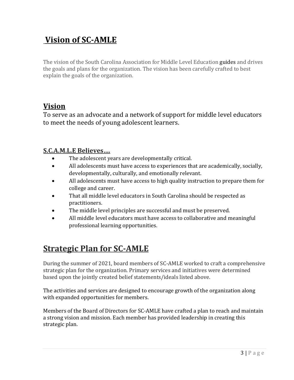### **Vision of SC-AMLE**

The vision of the South Carolina Association for Middle Level Education guides and drives the goals and plans for the organization. The vision has been carefully crafted to best explain the goals of the organization.

#### **Vision**

To serve as an advocate and a network of support for middle level educators to meet the needs of young adolescent learners.

#### **S.C.A.M.L.E Believes….**

- The adolescent years are developmentally critical.
- All adolescents must have access to experiences that are academically, socially, developmentally, culturally, and emotionally relevant.
- All adolescents must have access to high quality instruction to prepare them for college and career.
- That all middle level educators in South Carolina should be respected as practitioners.
- The middle level principles are successful and must be preserved.
- All middle level educators must have access to collaborative and meaningful professional learning opportunities.

#### **Strategic Plan for SC-AMLE**

During the summer of 2021, board members of SC-AMLE worked to craft a comprehensive strategic plan for the organization. Primary services and initiatives were determined based upon the jointly created belief statements/ideals listed above.

The activities and services are designed to encourage growth of the organization along with expanded opportunities for members.

Members of the Board of Directors for SC-AMLE have crafted a plan to reach and maintain a strong vision and mission. Each member has provided leadership in creating this strategic plan.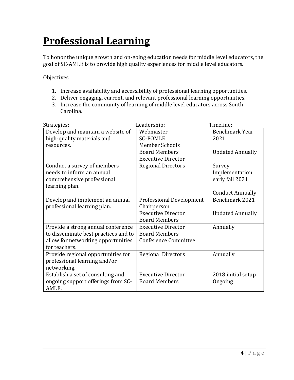## **Professional Learning**

To honor the unique growth and on-going education needs for middle level educators, the goal of SC-AMLE is to provide high quality experiences for middle level educators.

Objectives

- 1. Increase availability and accessibility of professional learning opportunities.
- 2. Deliver engaging, current, and relevant professional learning opportunities.
- 3. Increase the community of learning of middle level educators across South Carolina.

| Strategies:                          | Leadership:                     | Timeline:               |
|--------------------------------------|---------------------------------|-------------------------|
| Develop and maintain a website of    | Webmaster                       | Benchmark Year          |
| high-quality materials and           | <b>SC-POMLE</b>                 | 2021                    |
| resources.                           | <b>Member Schools</b>           |                         |
|                                      | <b>Board Members</b>            | <b>Updated Annually</b> |
|                                      | <b>Executive Director</b>       |                         |
| Conduct a survey of members          | <b>Regional Directors</b>       | Survey                  |
| needs to inform an annual            |                                 | Implementation          |
| comprehensive professional           |                                 | early fall 2021         |
| learning plan.                       |                                 |                         |
|                                      |                                 | <b>Conduct Annually</b> |
| Develop and implement an annual      | <b>Professional Development</b> | Benchmark 2021          |
| professional learning plan.          | Chairperson                     |                         |
|                                      | <b>Executive Director</b>       | <b>Updated Annually</b> |
|                                      | <b>Board Members</b>            |                         |
| Provide a strong annual conference   | <b>Executive Director</b>       | Annually                |
| to disseminate best practices and to | <b>Board Members</b>            |                         |
| allow for networking opportunities   | <b>Conference Committee</b>     |                         |
| for teachers.                        |                                 |                         |
| Provide regional opportunities for   | <b>Regional Directors</b>       | Annually                |
| professional learning and/or         |                                 |                         |
| networking.                          |                                 |                         |
| Establish a set of consulting and    | <b>Executive Director</b>       | 2018 initial setup      |
| ongoing support offerings from SC-   | <b>Board Members</b>            | Ongoing                 |
| AMLE.                                |                                 |                         |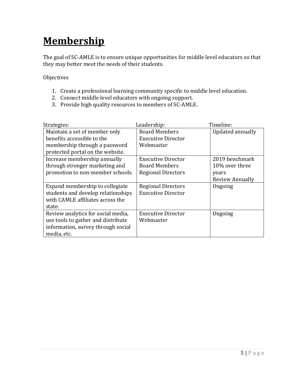## **Membership**

The goal of SC-AMLE is to ensure unique opportunities for middle level educators so that they may better meet the needs of their students.

Objectives

- 1. Create a professional learning community specific to middle level education.
- 2. Connect middle level educators with ongoing support.
- 3. Provide high quality resources to members of SC-AMLE.

| Strategies:                        | Leadership:               | Timeline:        |
|------------------------------------|---------------------------|------------------|
| Maintain a set of member only      | <b>Board Members</b>      | Updated annually |
| benefits accessible to the         | <b>Executive Director</b> |                  |
| membership through a password      | Webmaster                 |                  |
| protected portal on the website.   |                           |                  |
| Increase membership annually       | <b>Executive Director</b> | 2019 benchmark   |
| through stronger marketing and     | <b>Board Members</b>      | 10% over three   |
| promotion to non-member schools.   | <b>Regional Directors</b> | years            |
|                                    |                           | Review Annually  |
| Expand membership to collegiate    | <b>Regional Directors</b> | Ongoing          |
| students and develop relationships | <b>Executive Director</b> |                  |
| with CAMLE affiliates across the   |                           |                  |
| state.                             |                           |                  |
| Review analytics for social media, | <b>Executive Director</b> | Ongoing          |
| use tools to gather and distribute | Webmaster                 |                  |
| information, survey through social |                           |                  |
| media, etc.                        |                           |                  |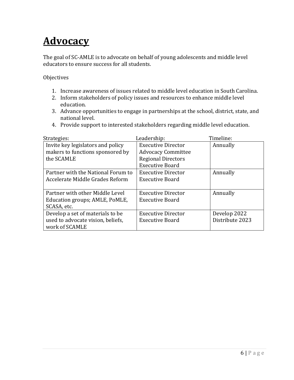## **Advocacy**

The goal of SC-AMLE is to advocate on behalf of young adolescents and middle level educators to ensure success for all students.

**Objectives** 

- 1. Increase awareness of issues related to middle level education in South Carolina.
- 2. Inform stakeholders of policy issues and resources to enhance middle level education.
- 3. Advance opportunities to engage in partnerships at the school, district, state, and national level.
- 4. Provide support to interested stakeholders regarding middle level education.

| Strategies:                        | Leadership:               | Timeline:       |
|------------------------------------|---------------------------|-----------------|
| Invite key legislators and policy  | <b>Executive Director</b> | Annually        |
| makers to functions sponsored by   | <b>Advocacy Committee</b> |                 |
| the SCAMLE                         | <b>Regional Directors</b> |                 |
|                                    | <b>Executive Board</b>    |                 |
| Partner with the National Forum to | <b>Executive Director</b> | Annually        |
| Accelerate Middle Grades Reform    | <b>Executive Board</b>    |                 |
|                                    |                           |                 |
| Partner with other Middle Level    | <b>Executive Director</b> | Annually        |
| Education groups; AMLE, PoMLE,     | <b>Executive Board</b>    |                 |
| SCASA, etc.                        |                           |                 |
| Develop a set of materials to be   | <b>Executive Director</b> | Develop 2022    |
| used to advocate vision, beliefs,  | <b>Executive Board</b>    | Distribute 2023 |
| work of SCAMLE                     |                           |                 |